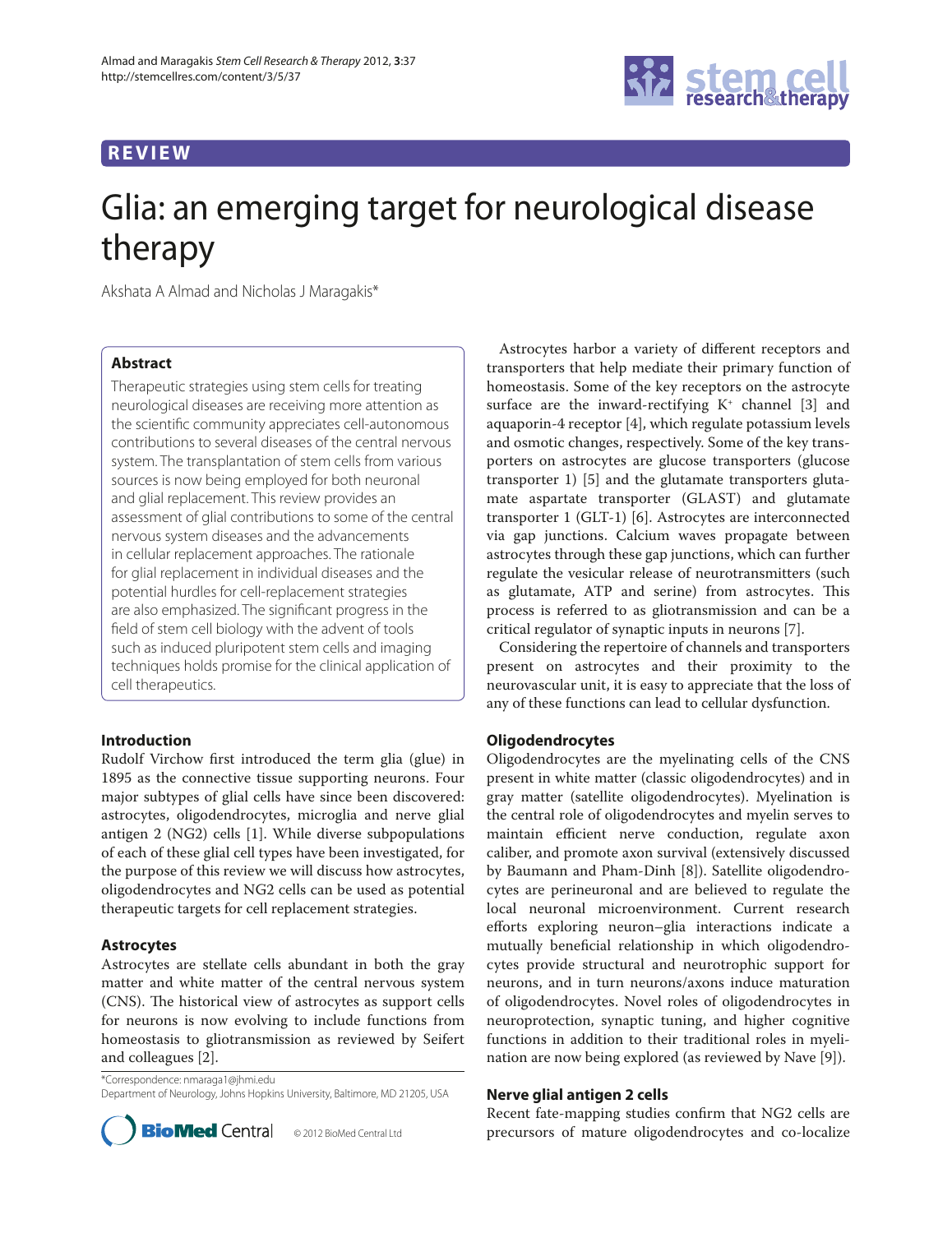## **REVIEW**



# Glia: an emerging target for neurological disease therapy

Akshata A Almad and Nicholas J Maragakis\*

## **Abstract**

Therapeutic strategies using stem cells for treating neurological diseases are receiving more attention as the scientific community appreciates cell-autonomous contributions to several diseases of the central nervous system. The transplantation of stem cells from various sources is now being employed for both neuronal and glial replacement. This review provides an assessment of glial contributions to some of the central nervous system diseases and the advancements in cellular replacement approaches. The rationale for glial replacement in individual diseases and the potential hurdles for cell-replacement strategies are also emphasized. The significant progress in the field of stem cell biology with the advent of tools such as induced pluripotent stem cells and imaging techniques holds promise for the clinical application of cell therapeutics.

## **Introduction**

Rudolf Virchow first introduced the term glia (glue) in 1895 as the connective tissue supporting neurons. Four major subtypes of glial cells have since been discovered: astrocytes, oligodendrocytes, microglia and nerve glial antigen 2 (NG2) cells [1]. While diverse subpopulations of each of these glial cell types have been investigated, for the purpose of this review we will discuss how astrocytes, oligodendrocytes and NG2 cells can be used as potential therapeutic targets for cell replacement strategies.

## **Astrocytes**

Astrocytes are stellate cells abundant in both the gray matter and white matter of the central nervous system (CNS). The historical view of astrocytes as support cells for neurons is now evolving to include functions from homeostasis to gliotransmission as reviewed by Seifert and colleagues [2].

\*Correspondence: nmaraga1@jhmi.edu Department of Neurology, Johns Hopkins University, Baltimore, MD 21205, USA



Astrocytes harbor a variety of different receptors and transporters that help mediate their primary function of homeostasis. Some of the key receptors on the astrocyte surface are the inward-rectifying  $K^+$  channel [3] and aquaporin-4 receptor [4], which regulate potassium levels and osmotic changes, respectively. Some of the key transporters on astrocytes are glucose transporters (glucose transporter 1) [5] and the glutamate transporters glutamate aspartate transporter (GLAST) and glutamate transporter 1 (GLT-1) [6]. Astrocytes are interconnected via gap junctions. Calcium waves propagate between astrocytes through these gap junctions, which can further regulate the vesicular release of neurotransmitters (such as glutamate, ATP and serine) from astrocytes. This process is referred to as gliotransmission and can be a critical regulator of synaptic inputs in neurons [7].

Considering the repertoire of channels and transporters present on astrocytes and their proximity to the neurovascular unit, it is easy to appreciate that the loss of any of these functions can lead to cellular dysfunction.

## **Oligodendrocytes**

Oligodendrocytes are the myelinating cells of the CNS present in white matter (classic oligodendrocytes) and in gray matter (satellite oligodendrocytes). Myelination is the central role of oligodendrocytes and myelin serves to maintain efficient nerve conduction, regulate axon caliber, and promote axon survival (extensively discussed by Baumann and Pham-Dinh [8]). Satellite oligodendrocytes are perineuronal and are believed to regulate the local neuronal microenvironment. Current research efforts exploring neuron–glia interactions indicate a mutually beneficial relationship in which oligodendrocytes provide structural and neurotrophic support for neurons, and in turn neurons/axons induce maturation of oligodendrocytes. Novel roles of oligodendrocytes in neuroprotection, synaptic tuning, and higher cognitive functions in addition to their traditional roles in myelination are now being explored (as reviewed by Nave [9]).

## **Nerve glial antigen 2 cells**

Recent fate-mapping studies confirm that NG2 cells are precursors of mature oligodendrocytes and co-localize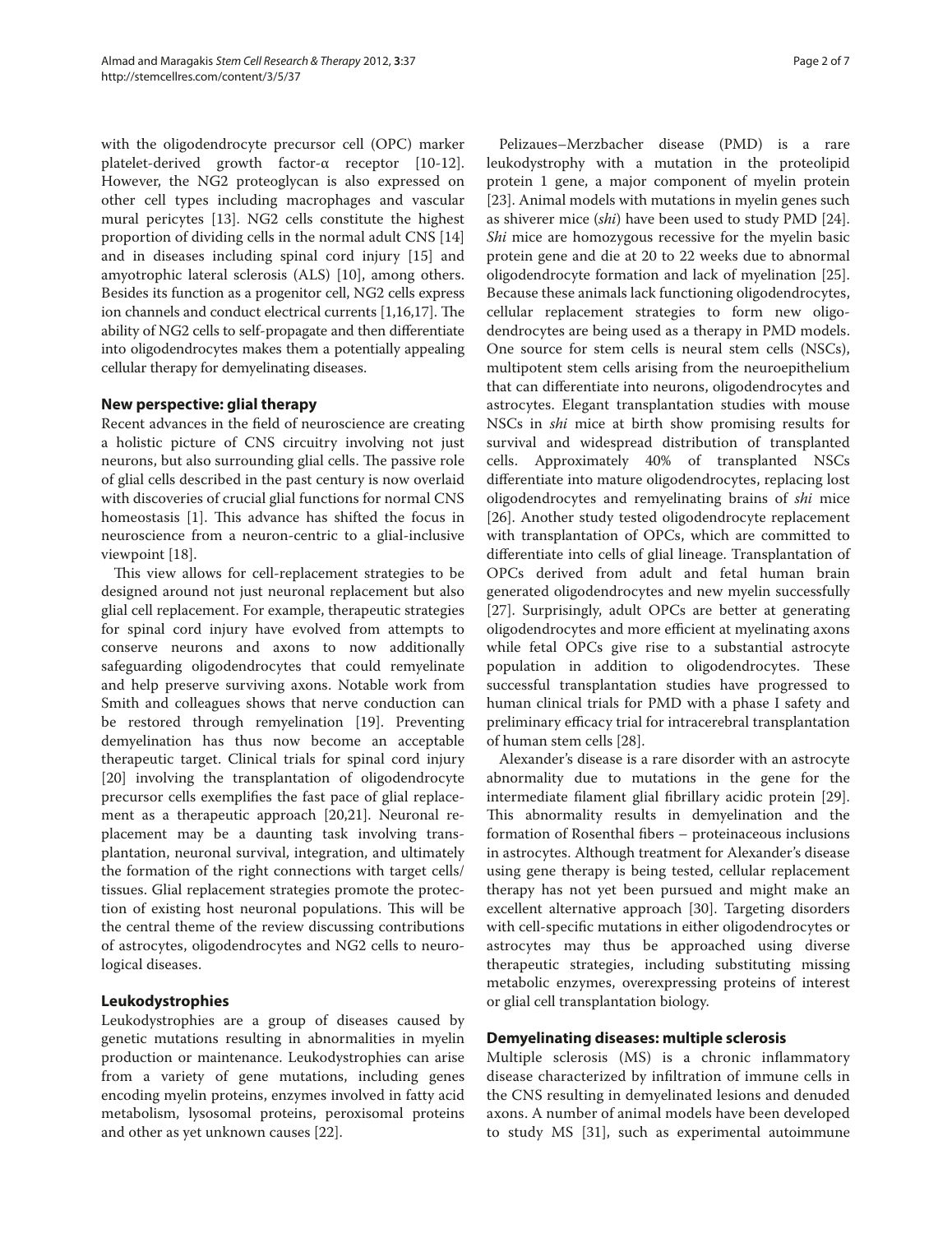with the oligodendrocyte precursor cell (OPC) marker platelet-derived growth factor-α receptor [10-12]. However, the NG2 proteoglycan is also expressed on other cell types including macrophages and vascular mural pericytes [13]. NG2 cells constitute the highest proportion of dividing cells in the normal adult CNS [14] and in diseases including spinal cord injury [15] and amyotrophic lateral sclerosis (ALS) [10], among others. Besides its function as a progenitor cell, NG2 cells express ion channels and conduct electrical currents  $[1,16,17]$ . The ability of NG2 cells to self-propagate and then differentiate into oligodendrocytes makes them a potentially appealing cellular therapy for demyelinating diseases.

#### **New perspective: glial therapy**

Recent advances in the field of neuroscience are creating a holistic picture of CNS circuitry involving not just neurons, but also surrounding glial cells. The passive role of glial cells described in the past century is now overlaid with discoveries of crucial glial functions for normal CNS homeostasis [1]. This advance has shifted the focus in neuroscience from a neuron-centric to a glial-inclusive viewpoint [18].

This view allows for cell-replacement strategies to be designed around not just neuronal replacement but also glial cell replacement. For example, therapeutic strategies for spinal cord injury have evolved from attempts to conserve neurons and axons to now additionally safeguarding oligodendrocytes that could remyelinate and help preserve surviving axons. Notable work from Smith and colleagues shows that nerve conduction can be restored through remyelination [19]. Preventing demyelination has thus now become an acceptable therapeutic target. Clinical trials for spinal cord injury [20] involving the transplantation of oligodendrocyte precursor cells exemplifies the fast pace of glial replacement as a therapeutic approach [20,21]. Neuronal replacement may be a daunting task involving transplantation, neuronal survival, integration, and ultimately the formation of the right connections with target cells/ tissues. Glial replacement strategies promote the protection of existing host neuronal populations. This will be the central theme of the review discussing contributions of astrocytes, oligodendrocytes and NG2 cells to neurological diseases.

## **Leukodystrophies**

Leukodystrophies are a group of diseases caused by genetic mutations resulting in abnormalities in myelin production or maintenance. Leukodystrophies can arise from a variety of gene mutations, including genes encoding myelin proteins, enzymes involved in fatty acid metabolism, lysosomal proteins, peroxisomal proteins and other as yet unknown causes [22].

Pelizaues–Merzbacher disease (PMD) is a rare leukodystrophy with a mutation in the proteolipid protein 1 gene, a major component of myelin protein [23]. Animal models with mutations in myelin genes such as shiverer mice (*shi*) have been used to study PMD [24]. *Shi* mice are homozygous recessive for the myelin basic protein gene and die at 20 to 22 weeks due to abnormal oligodendrocyte formation and lack of myelination [25]. Because these animals lack functioning oligodendrocytes, cellular replacement strategies to form new oligodendrocytes are being used as a therapy in PMD models. One source for stem cells is neural stem cells (NSCs), multipotent stem cells arising from the neuroepithelium that can differentiate into neurons, oligodendrocytes and astrocytes. Elegant transplantation studies with mouse NSCs in *shi* mice at birth show promising results for survival and widespread distribution of transplanted cells. Approximately 40% of transplanted NSCs differentiate into mature oligodendrocytes, replacing lost oligodendrocytes and remyelinating brains of *shi* mice [26]. Another study tested oligodendrocyte replacement with transplantation of OPCs, which are committed to differentiate into cells of glial lineage. Transplantation of OPCs derived from adult and fetal human brain generated oligodendrocytes and new myelin successfully [27]. Surprisingly, adult OPCs are better at generating oligodendrocytes and more efficient at myelinating axons while fetal OPCs give rise to a substantial astrocyte population in addition to oligodendrocytes. These successful transplantation studies have progressed to human clinical trials for PMD with a phase I safety and preliminary efficacy trial for intracerebral transplantation of human stem cells [28].

Alexander's disease is a rare disorder with an astrocyte abnormality due to mutations in the gene for the intermediate filament glial fibrillary acidic protein [29]. This abnormality results in demyelination and the formation of Rosenthal fibers - proteinaceous inclusions in astrocytes. Although treatment for Alexander's disease using gene therapy is being tested, cellular replacement therapy has not yet been pursued and might make an excellent alternative approach [30]. Targeting disorders with cell-specific mutations in either oligodendrocytes or astrocytes may thus be approached using diverse therapeutic strategies, including substituting missing metabolic enzymes, over expressing proteins of interest or glial cell transplantation biology.

#### **Demyelinating diseases: multiple sclerosis**

Multiple sclerosis (MS) is a chronic inflammatory disease characterized by infiltration of immune cells in the CNS resulting in demyelinated lesions and denuded axons. A number of animal models have been developed to study MS [31], such as experimental autoimmune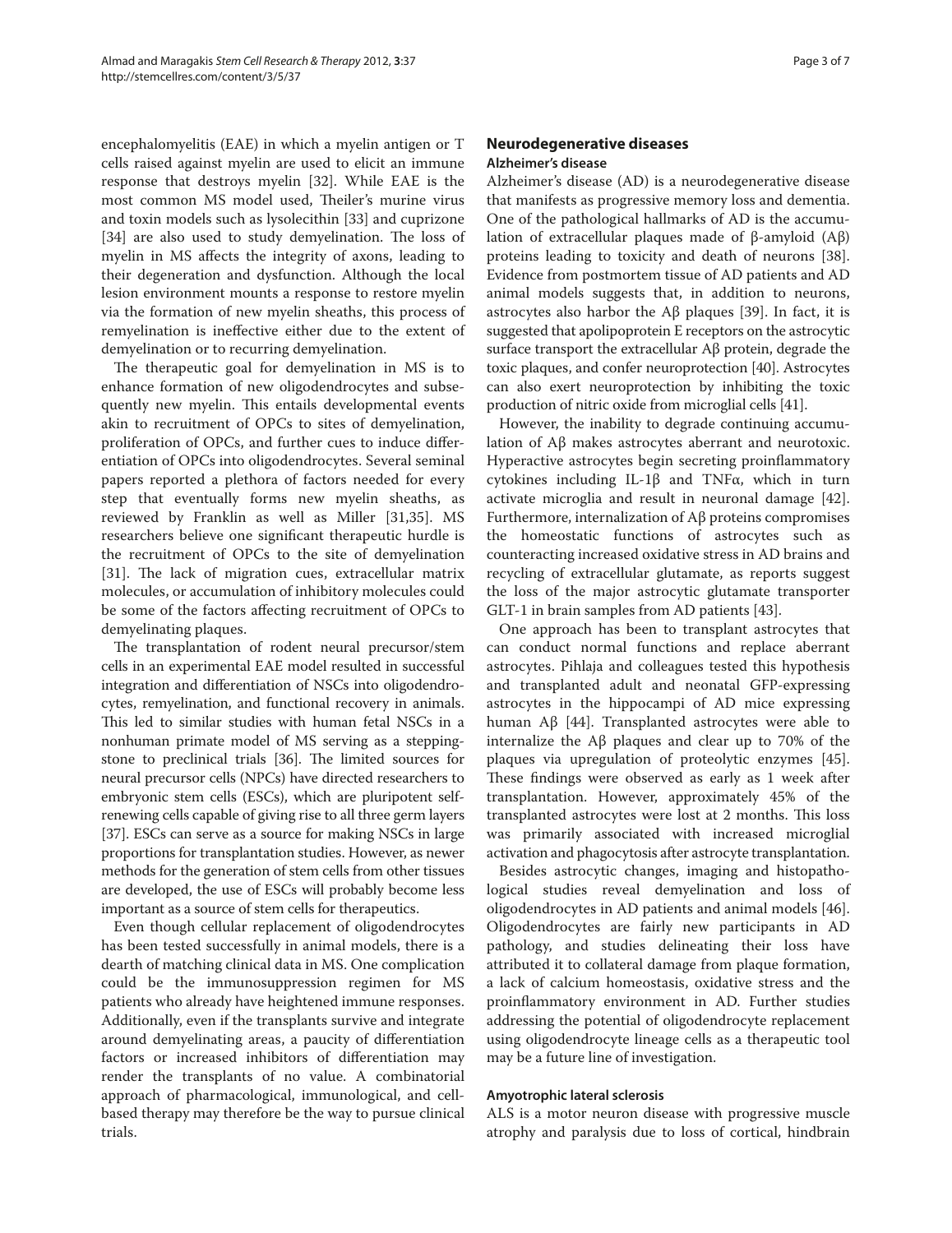encephalomyelitis (EAE) in which a myelin antigen or T cells raised against myelin are used to elicit an immune response that destroys myelin [32]. While EAE is the most common MS model used, Theiler's murine virus and toxin models such as lysolecithin [33] and cuprizone [34] are also used to study demyelination. The loss of myelin in MS affects the integrity of axons, leading to their degeneration and dysfunction. Although the local lesion environment mounts a response to restore myelin via the formation of new myelin sheaths, this process of remyelination is ineffective either due to the extent of demyelination or to recurring demyelination.

The therapeutic goal for demyelination in MS is to enhance formation of new oligodendrocytes and subsequently new myelin. This entails developmental events akin to recruitment of OPCs to sites of demyelination, proliferation of OPCs, and further cues to induce differentiation of OPCs into oligodendrocytes. Several seminal papers reported a plethora of factors needed for every step that eventually forms new myelin sheaths, as reviewed by Franklin as well as Miller [31,35]. MS researchers believe one significant therapeutic hurdle is the recruitment of OPCs to the site of demyelination [31]. The lack of migration cues, extracellular matrix molecules, or accumulation of inhibitory molecules could be some of the factors affecting recruitment of OPCs to demyelinating plaques.

The transplantation of rodent neural precursor/stem cells in an experimental EAE model resulted in successful integration and differentiation of NSCs into oligodendrocytes, remyelination, and functional recovery in animals. This led to similar studies with human fetal NSCs in a nonhuman primate model of MS serving as a steppingstone to preclinical trials [36]. The limited sources for neural precursor cells (NPCs) have directed researchers to embryonic stem cells (ESCs), which are pluripotent selfrenewing cells capable of giving rise to all three germ layers [37]. ESCs can serve as a source for making NSCs in large proportions for transplantation studies. However, as newer methods for the generation of stem cells from other tissues are developed, the use of ESCs will probably become less important as a source of stem cells for therapeutics.

Even though cellular replacement of oligodendrocytes has been tested successfully in animal models, there is a dearth of matching clinical data in MS. One complication could be the immunosuppression regimen for MS patients who already have heightened immune responses. Additionally, even if the transplants survive and integrate around demyelinating areas, a paucity of differentiation factors or increased inhibitors of differentiation may render the transplants of no value. A combinatorial approach of pharmacological, immunological, and cellbased therapy may therefore be the way to pursue clinical trials.

## **Neurodegenerative diseases Alzheimer's disease**

Alzheimer's disease (AD) is a neurodegenerative disease that manifests as progressive memory loss and dementia. One of the pathological hallmarks of AD is the accumulation of extracellular plaques made of β-amyloid (Aβ) proteins leading to toxicity and death of neurons [38]. Evidence from postmortem tissue of AD patients and AD animal models suggests that, in addition to neurons, astrocytes also harbor the Aβ plaques [39]. In fact, it is suggested that apolipoprotein E receptors on the astrocytic surface transport the extracellular Aβ protein, degrade the toxic plaques, and confer neuroprotection [40]. Astrocytes can also exert neuroprotection by inhibiting the toxic production of nitric oxide from microglial cells [41].

However, the inability to degrade continuing accumulation of Aβ makes astrocytes aberrant and neurotoxic. Hyperactive astrocytes begin secreting proinflammatory cytokines including IL-1β and TNFα, which in turn activate microglia and result in neuronal damage [42]. Furthermore, internalization of Aβ proteins compromises the homeostatic functions of astrocytes such as counteracting increased oxidative stress in AD brains and recycling of extracellular glutamate, as reports suggest the loss of the major astrocytic glutamate transporter GLT-1 in brain samples from AD patients [43].

One approach has been to transplant astrocytes that can conduct normal functions and replace aberrant astrocytes. Pihlaja and colleagues tested this hypothesis and transplanted adult and neonatal GFP-expressing astrocytes in the hippocampi of AD mice expressing human Aβ [44]. Transplanted astrocytes were able to internalize the Aβ plaques and clear up to 70% of the plaques via upregulation of proteolytic enzymes [45]. These findings were observed as early as 1 week after transplantation. However, approximately 45% of the transplanted astrocytes were lost at 2 months. This loss was primarily associated with increased microglial activation and phagocytosis after astrocyte transplantation.

Besides astrocytic changes, imaging and histopathological studies reveal demyelination and loss of oligodendrocytes in AD patients and animal models [46]. Oligodendrocytes are fairly new participants in AD pathology, and studies delineating their loss have attributed it to collateral damage from plaque formation, a lack of calcium homeostasis, oxidative stress and the proinflammatory environment in AD. Further studies addressing the potential of oligodendrocyte replacement using oligodendrocyte lineage cells as a therapeutic tool may be a future line of investigation.

#### **Amyotrophic lateral sclerosis**

ALS is a motor neuron disease with progressive muscle atrophy and paralysis due to loss of cortical, hindbrain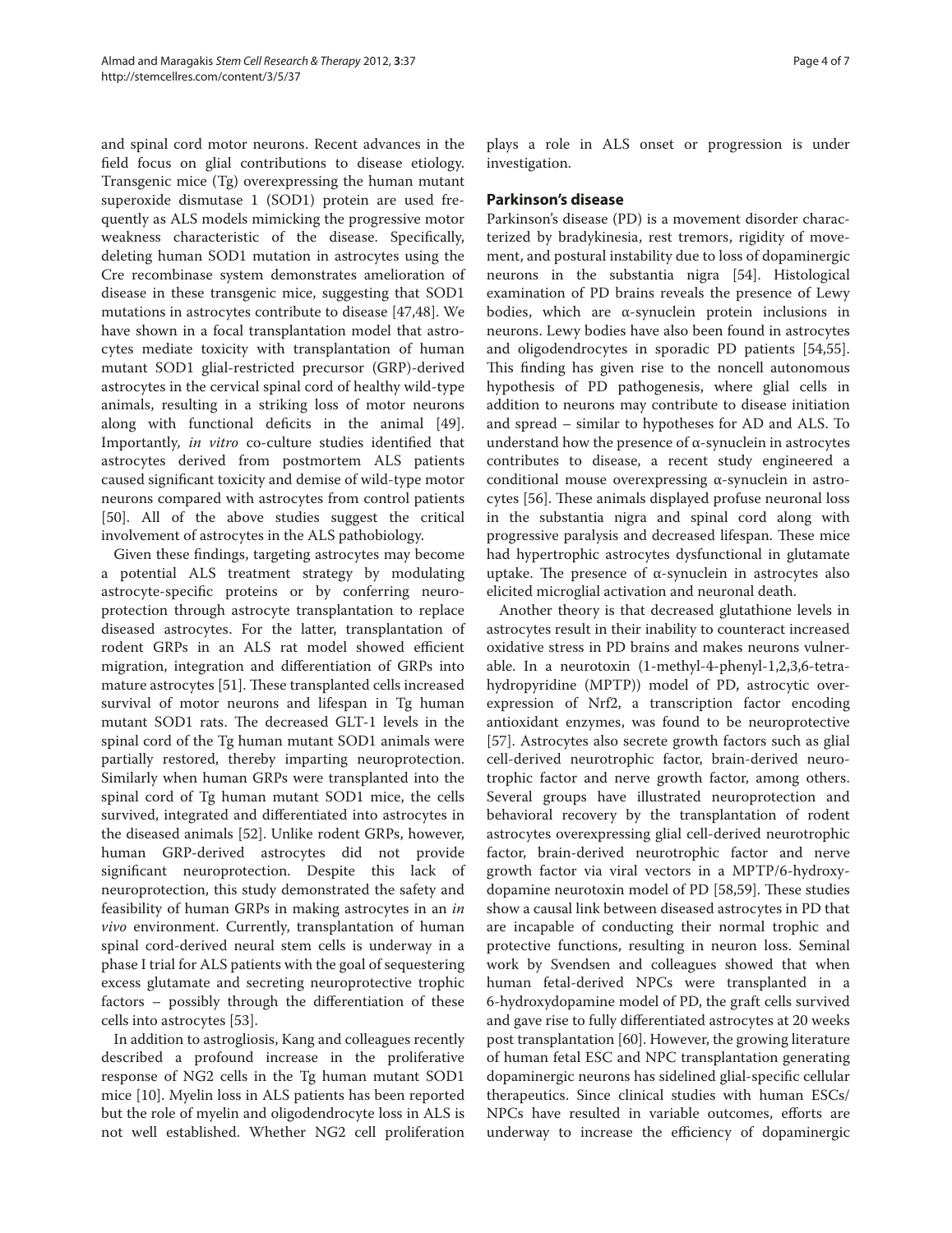and spinal cord motor neurons. Recent advances in the field focus on glial contributions to disease etiology. Transgenic mice (Tg) overexpressing the human mutant superoxide dismutase 1 (SOD1) protein are used frequently as ALS models mimicking the progressive motor weakness characteristic of the disease. Specifically, deleting human SOD1 mutation in astrocytes using the Cre recombinase system demonstrates amelioration of disease in these transgenic mice, suggesting that SOD1 mutations in astrocytes contribute to disease [47,48]. We have shown in a focal transplantation model that astrocytes mediate toxicity with transplantation of human mutant SOD1 glial-restricted precursor (GRP)-derived astrocytes in the cervical spinal cord of healthy wild-type animals, resulting in a striking loss of motor neurons along with functional deficits in the animal [49]. Importantly, in vitro co-culture studies identified that astrocytes derived from postmortem ALS patients caused significant toxicity and demise of wild-type motor neurons compared with astrocytes from control patients [50]. All of the above studies suggest the critical involvement of astrocytes in the ALS pathobiology.

Given these findings, targeting astrocytes may become a potential ALS treatment strategy by modulating astrocyte-specific proteins or by conferring neuroprotection through astrocyte transplantation to replace diseased astrocytes. For the latter, transplantation of rodent GRPs in an ALS rat model showed efficient migration, integration and differentiation of GRPs into mature astrocytes [51]. These transplanted cells increased survival of motor neurons and lifespan in Tg human mutant SOD1 rats. The decreased GLT-1 levels in the spinal cord of the Tg human mutant SOD1 animals were partially restored, thereby imparting neuroprotection. Similarly when human GRPs were transplanted into the spinal cord of Tg human mutant SOD1 mice, the cells survived, integrated and differentiated into astrocytes in the diseased animals [52]. Unlike rodent GRPs, however, human GRP-derived astrocytes did not provide significant neuroprotection. Despite this lack of neuroprotection, this study demonstrated the safety and feasibility of human GRPs in making astrocytes in an *in vivo* environment. Currently, transplantation of human spinal cord-derived neural stem cells is underway in a phase I trial for ALS patients with the goal of sequestering excess glutamate and secreting neuroprotective trophic factors  $-$  possibly through the differentiation of these cells into astrocytes [53].

In addition to astrogliosis, Kang and colleagues recently described a profound increase in the proliferative response of NG2 cells in the Tg human mutant SOD1 mice [10]. Myelin loss in ALS patients has been reported but the role of myelin and oligodendrocyte loss in ALS is not well established. Whether NG2 cell proliferation plays a role in ALS onset or progression is under investigation.

#### **Parkinson's disease**

Parkinson's disease (PD) is a movement disorder characterized by bradykinesia, rest tremors, rigidity of movement, and postural instability due to loss of dopaminergic neurons in the substantia nigra [54]. Histological examination of PD brains reveals the presence of Lewy bodies, which are α-synuclein protein inclusions in neurons. Lewy bodies have also been found in astrocytes and oligodendrocytes in sporadic PD patients [54,55]. This finding has given rise to the noncell autonomous hypothesis of PD pathogenesis, where glial cells in addition to neurons may contribute to disease initiation and spread – similar to hypotheses for AD and ALS. To understand how the presence of  $\alpha$ -synuclein in astrocytes contributes to disease, a recent study engineered a conditional mouse overexpressing α-synuclein in astrocytes [56]. These animals displayed profuse neuronal loss in the substantia nigra and spinal cord along with progressive paralysis and decreased lifespan. These mice had hypertrophic astrocytes dysfunctional in glutamate uptake. The presence of  $\alpha$ -synuclein in astrocytes also elicited microglial activation and neuronal death.

Another theory is that decreased glutathione levels in astrocytes result in their inability to counteract increased oxidative stress in PD brains and makes neurons vulnerable. In a neurotoxin (1-methyl-4-phenyl-1,2,3,6-tetrahydropyridine (MPTP)) model of PD, astrocytic overexpression of Nrf2, a transcription factor encoding antioxidant enzymes, was found to be neuroprotective [57]. Astrocytes also secrete growth factors such as glial cell-derived neurotrophic factor, brain-derived neurotrophic factor and nerve growth factor, among others. Several groups have illustrated neuroprotection and behavioral recovery by the transplantation of rodent astrocytes overexpressing glial cell-derived neurotrophic factor, brain-derived neurotrophic factor and nerve growth factor via viral vectors in a MPTP/6-hydroxydopamine neurotoxin model of PD [58,59]. These studies show a causal link between diseased astrocytes in PD that are incapable of conducting their normal trophic and protective functions, resulting in neuron loss. Seminal work by Svendsen and colleagues showed that when human fetal-derived NPCs were transplanted in a 6-hydroxydopamine model of PD, the graft cells survived and gave rise to fully differentiated astrocytes at 20 weeks post transplantation [60]. However, the growing literature of human fetal ESC and NPC transplantation generating dopaminergic neurons has sidelined glial-specific cellular therapeutics. Since clinical studies with human ESCs/ NPCs have resulted in variable outcomes, efforts are underway to increase the efficiency of dopaminergic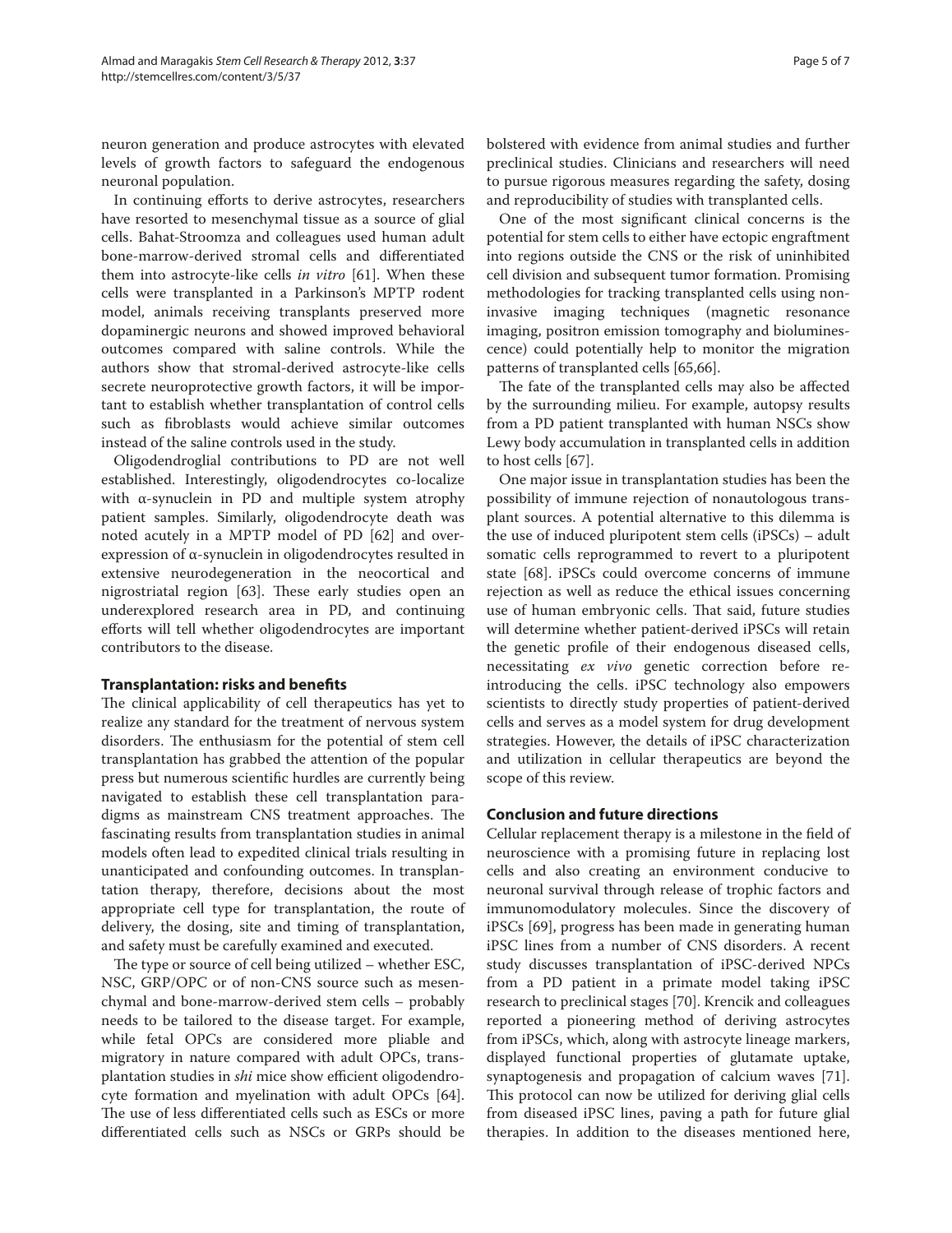neuron generation and produce astrocytes with elevated levels of growth factors to safeguard the endogenous neuronal population.

In continuing efforts to derive astrocytes, researchers have resorted to mesenchymal tissue as a source of glial cells. Bahat-Stroomza and colleagues used human adult bone-marrow-derived stromal cells and differentiated them into astrocyte-like cells *in vitro* [61]. When these cells were transplanted in a Parkinson's MPTP rodent model, animals receiving transplants preserved more dopaminergic neurons and showed improved behavioral outcomes compared with saline controls. While the authors show that stromal-derived astrocyte-like cells secrete neuroprotective growth factors, it will be important to establish whether transplantation of control cells such as fibroblasts would achieve similar outcomes instead of the saline controls used in the study.

Oligodendroglial contributions to PD are not well established. Interestingly, oligodendrocytes co-localize with α-synuclein in PD and multiple system atrophy patient samples. Similarly, oligodendrocyte death was noted acutely in a MPTP model of PD [62] and overexpression of α-synuclein in oligodendrocytes resulted in extensive neurodegeneration in the neocortical and nigrostriatal region [63]. These early studies open an underexplored research area in PD, and continuing efforts will tell whether oligodendrocytes are important contributors to the disease.

#### **Transplantation: risks and benefits**

The clinical applicability of cell therapeutics has yet to realize any standard for the treatment of nervous system disorders. The enthusiasm for the potential of stem cell transplantation has grabbed the attention of the popular press but numerous scientific hurdles are currently being navigated to establish these cell transplantation paradigms as mainstream CNS treatment approaches. The fascinating results from transplantation studies in animal models often lead to expedited clinical trials resulting in unanticipated and confounding outcomes. In transplantation therapy, therefore, decisions about the most appropriate cell type for transplantation, the route of delivery, the dosing, site and timing of transplantation, and safety must be carefully examined and executed.

The type or source of cell being utilized – whether ESC, NSC, GRP/OPC or of non-CNS source such as mesenchymal and bone-marrow-derived stem cells – probably needs to be tailored to the disease target. For example, while fetal OPCs are considered more pliable and migratory in nature compared with adult OPCs, transplantation studies in *shi* mice show efficient oligodendrocyte formation and myelination with adult OPCs  $[64]$ . The use of less differentiated cells such as ESCs or more differentiated cells such as NSCs or GRPs should be

bolstered with evidence from animal studies and further preclinical studies. Clinicians and researchers will need to pursue rigorous measures regarding the safety, dosing and reproducibility of studies with transplanted cells.

One of the most significant clinical concerns is the potential for stem cells to either have ectopic engraftment into regions outside the CNS or the risk of uninhibited cell division and subsequent tumor formation. Promising methodologies for tracking transplanted cells using noninvasive imaging techniques (magnetic resonance imaging, positron emission tomography and bioluminescence) could potentially help to monitor the migration patterns of transplanted cells [65,66].

The fate of the transplanted cells may also be affected by the surrounding milieu. For example, autopsy results from a PD patient transplanted with human NSCs show Lewy body accumulation in transplanted cells in addition to host cells [67].

One major issue in transplantation studies has been the possibility of immune rejection of nonautologous transplant sources. A potential alternative to this dilemma is the use of induced pluripotent stem cells (iPSCs) – adult somatic cells reprogrammed to revert to a pluripotent state [68]. iPSCs could overcome concerns of immune rejection as well as reduce the ethical issues concerning use of human embryonic cells. That said, future studies will determine whether patient-derived iPSCs will retain the genetic profile of their endogenous diseased cells, necessitating *ex vivo* genetic correction before reintroducing the cells. iPSC technology also empowers scientists to directly study properties of patient-derived cells and serves as a model system for drug development strategies. However, the details of iPSC characterization and utilization in cellular therapeutics are beyond the scope of this review.

#### **Conclusion and future directions**

Cellular replacement therapy is a milestone in the field of neuroscience with a promising future in replacing lost cells and also creating an environment conducive to neuronal survival through release of trophic factors and immunomodulatory molecules. Since the discovery of iPSCs [69], progress has been made in generating human iPSC lines from a number of CNS disorders. A recent study discusses transplantation of iPSC-derived NPCs from a PD patient in a primate model taking iPSC research to preclinical stages [70]. Krencik and colleagues reported a pioneering method of deriving astrocytes from iPSCs, which, along with astrocyte lineage markers, displayed functional properties of glutamate uptake, synaptogenesis and propagation of calcium waves [71]. This protocol can now be utilized for deriving glial cells from diseased iPSC lines, paving a path for future glial therapies. In addition to the diseases mentioned here,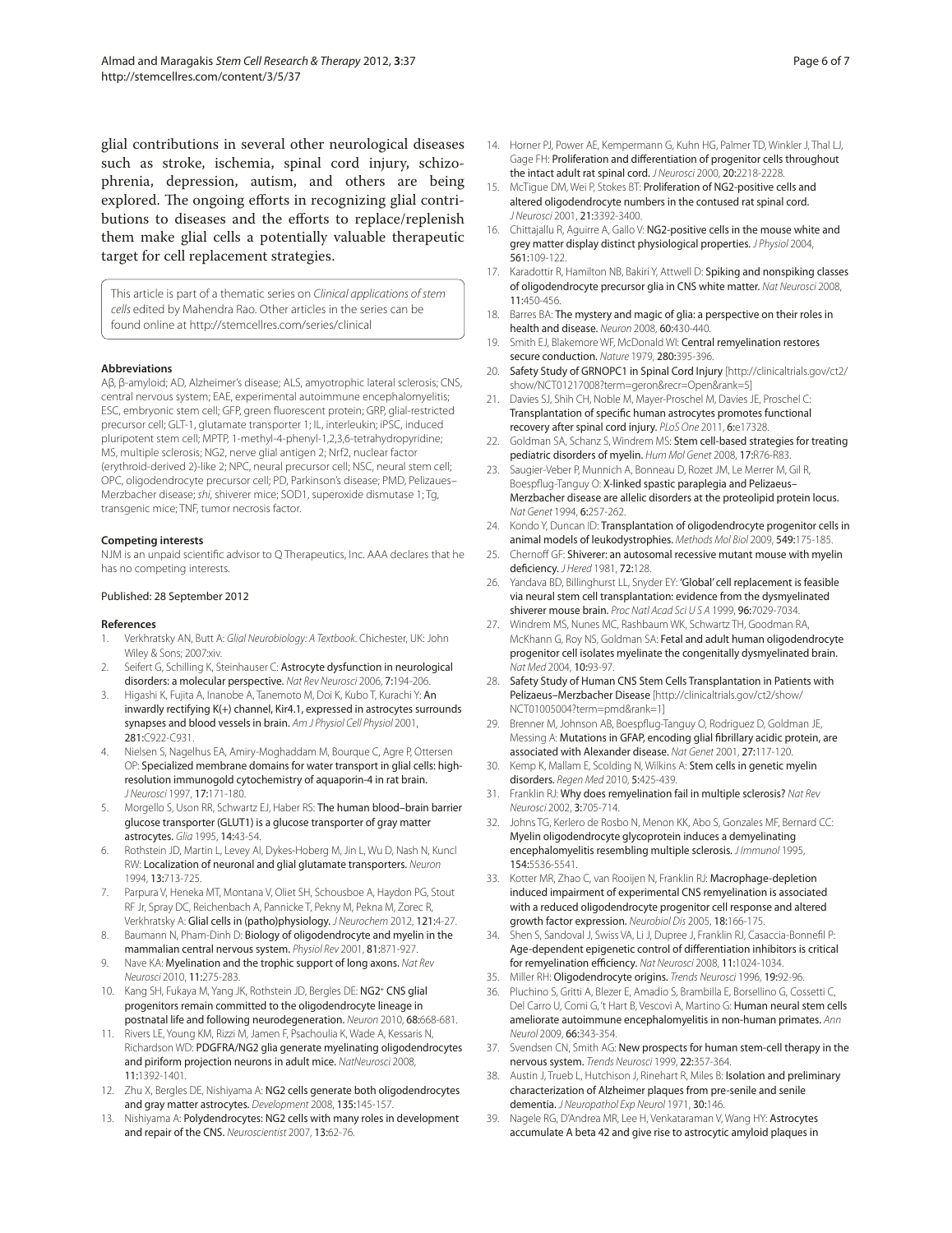glial contributions in several other neurological diseases such as stroke, ischemia, spinal cord injury, schizophrenia, depression, autism, and others are being explored. The ongoing efforts in recognizing glial contributions to diseases and the efforts to replace/replenish them make glial cells a potentially valuable therapeutic target for cell replacement strategies.

This article is part of a thematic series on Clinical applications of stem cells edited by Mahendra Rao. Other articles in the series can be found online at http://stemcellres.com/series/clinical

#### **Abbreviations**

Aβ, β-amyloid; AD, Alzheimer's disease; ALS, amyotrophic lateral sclerosis; CNS, central nervous system; EAE, experimental autoimmune encephalomyelitis; ESC, embryonic stem cell; GFP, green fluorescent protein; GRP, glial-restricted precursor cell; GLT-1, glutamate transporter 1; IL, interleukin; iPSC, induced pluripotent stem cell; MPTP, 1-methyl-4-phenyl-1,2,3,6-tetrahydropyridine; MS, multiple sclerosis; NG2, nerve glial antigen 2; Nrf2, nuclear factor (erythroid-derived 2)-like 2; NPC, neural precursor cell; NSC, neural stem cell; OPC, oligodendrocyte precursor cell; PD, Parkinson's disease; PMD, Pelizaues– Merzbacher disease; shi, shiverer mice; SOD1, superoxide dismutase 1; Tg, transgenic mice; TNF, tumor necrosis factor.

#### **Competing interests**

NJM is an unpaid scientific advisor to Q Therapeutics, Inc. AAA declares that he has no competing interests.

#### Published: 28 September 2012

#### **References**

- Verkhratsky AN, Butt A: Glial Neurobiology: A Textbook. Chichester, UK: John Wiley & Sons; 2007:xiv.
- Seifert G, Schilling K, Steinhauser C: Astrocyte dysfunction in neurological disorders: a molecular perspective. Nat Rev Neurosci 2006, 7:194-206.
- 3. Higashi K, Fujita A, Inanobe A, Tanemoto M, Doi K, Kubo T, Kurachi Y: An inwardly rectifying K(+) channel, Kir4.1, expressed in astrocytes surrounds synapses and blood vessels in brain. Am J Physiol Cell Physiol 2001, 281:C922-C931.
- Nielsen S, Nagelhus EA, Amiry-Moghaddam M, Bourque C, Agre P, Ottersen OP: Specialized membrane domains for water transport in glial cells: highresolution immunogold cytochemistry of aquaporin-4 in rat brain. J Neurosci 1997, 17:171-180.
- 5. Morgello S, Uson RR, Schwartz EJ, Haber RS: The human blood-brain barrier glucose transporter (GLUT1) is a glucose transporter of gray matter astrocytes. Glia 1995, 14:43-54.
- Rothstein JD, Martin L, Levey AI, Dykes-Hoberg M, Jin L, Wu D, Nash N, Kuncl RW: Localization of neuronal and glial glutamate transporters. Neuron 1994, 13:713-725.
- 7. Parpura V, Heneka MT, Montana V, Oliet SH, Schousboe A, Haydon PG, Stout RF Jr, Spray DC, Reichenbach A, Pannicke T, Pekny M, Pekna M, Zorec R, Verkhratsky A: Glial cells in (patho)physiology. J Neurochem 2012, 121:4-27.
- 8. Baumann N, Pham-Dinh D: Biology of oligodendrocyte and myelin in the mammalian central nervous system. Physiol Rev 2001, 81:871-927.
- 9. Nave KA: Myelination and the trophic support of long axons. Nat Rev Neurosci 2010, 11:275-283.
- 10. Kang SH, Fukaya M, Yang JK, Rothstein JD, Bergles DE: NG2<sup>+</sup> CNS glial progenitors remain committed to the oligodendrocyte lineage in postnatal life and following neurodegeneration. Neuron 2010, 68:668-681.
- 11. Rivers LE, Young KM, Rizzi M, Jamen F, Psachoulia K, Wade A, Kessaris N, Richardson WD: PDGFRA/NG2 glia generate myelinating oligodendrocytes and piriform projection neurons in adult mice. NatNeurosci 2008, 11:1392-1401.
- 12. Zhu X, Bergles DE, Nishiyama A: NG2 cells generate both oligodendrocytes and gray matter astrocytes. Development 2008, 135:145-157.
- 13. Nishiyama A: Polydendrocytes: NG2 cells with many roles in development and repair of the CNS. Neuroscientist 2007, 13:62-76.
- 14. Horner PJ, Power AF, Kempermann G, Kuhn HG, Palmer TD, Winkler J, Thal LJ, Gage FH: Proliferation and differentiation of progenitor cells throughout the intact adult rat spinal cord. J Neurosci 2000, 20:2218-2228.
- 15. McTigue DM, Wei P, Stokes BT: Proliferation of NG2-positive cells and altered oligodendrocyte numbers in the contused rat spinal cord. J Neurosci 2001, 21:3392-3400.
- 16. Chittajallu R, Aguirre A, Gallo V: NG2-positive cells in the mouse white and grey matter display distinct physiological properties. J Physiol 2004, 561:109-122.
- 17. Karadottir R, Hamilton NB, Bakiri Y, Attwell D: Spiking and nonspiking classes of oligodendrocyte precursor glia in CNS white matter. Nat Neurosci 2008, 11:450-456.
- 18. Barres BA: The mystery and magic of glia: a perspective on their roles in health and disease. Neuron 2008, 60:430-440.
- 19. Smith EJ, Blakemore WF, McDonald WI: Central remyelination restores secure conduction. Nature 1979, 280:395-396.
- 20. Safety Study of GRNOPC1 in Spinal Cord Injury [http://clinicaltrials.gov/ct2/ show/NCT01217008?term=geron&recr=Open&rank=5]
- 21. Davies SJ, Shih CH, Noble M, Mayer-Proschel M, Davies JE, Proschel C: Transplantation of specific human astrocytes promotes functional recovery after spinal cord injury. PLoS One 2011, 6:e17328.
- 22. Goldman SA, Schanz S, Windrem MS: Stem cell-based strategies for treating pediatric disorders of myelin. Hum Mol Genet 2008, 17:R76-R83.
- 23. Saugier-Veber P, Munnich A, Bonneau D, Rozet JM, Le Merrer M, Gil R, Boespflug-Tanguy O: X-linked spastic paraplegia and Pelizaeus-Merzbacher disease are allelic disorders at the proteolipid protein locus. Nat Genet 1994, 6:257-262.
- 24. Kondo Y, Duncan ID: Transplantation of oligodendrocyte progenitor cells in animal models of leukodystrophies. Methods Mol Biol 2009, 549:175-185.
- 25. Chernoff GF: Shiverer: an autosomal recessive mutant mouse with myelin deficiency. J Hered 1981, 72:128.
- 26. Yandava BD, Billinghurst LL, Snyder EY: 'Global' cell replacement is feasible via neural stem cell transplantation: evidence from the dysmyelinated shiverer mouse brain. Proc Natl Acad Sci U S A 1999, 96:7029-7034.
- 27. Windrem MS, Nunes MC, Rashbaum WK, Schwartz TH, Goodman RA, McKhann G, Roy NS, Goldman SA: Fetal and adult human oligodendrocyte progenitor cell isolates myelinate the congenitally dysmyelinated brain. Nat Med 2004, 10:93-97.
- 28. Safety Study of Human CNS Stem Cells Transplantation in Patients with Pelizaeus–Merzbacher Disease [http://clinicaltrials.gov/ct2/show/ NCT01005004?term=pmd&rank=1]
- 29. Brenner M, Johnson AB, Boespflug-Tanguy O, Rodriguez D, Goldman JE, Messing A: Mutations in GFAP, encoding glial fibrillary acidic protein, are associated with Alexander disease. Nat Genet 2001, 27:117-120.
- 30. Kemp K, Mallam E, Scolding N, Wilkins A: Stem cells in genetic myelin disorders. Regen Med 2010, 5:425-439.
- 31. Franklin RJ: Why does remyelination fail in multiple sclerosis? Nat Rev Neurosci 2002, 3:705-714.
- 32. Johns TG, Kerlero de Rosbo N, Menon KK, Abo S, Gonzales MF, Bernard CC: Myelin oligodendrocyte glycoprotein induces a demyelinating encephalomyelitis resembling multiple sclerosis. J Immunol 1995, 154:5536-5541.
- 33. Kotter MR, Zhao C, van Rooijen N, Franklin RJ: Macrophage-depletion induced impairment of experimental CNS remyelination is associated with a reduced oligodendrocyte progenitor cell response and altered growth factor expression. Neurobiol Dis 2005, 18:166-175.
- 34. Shen S, Sandoval J, Swiss VA, Li J, Dupree J, Franklin RJ, Casaccia-Bonnefil P: Age-dependent epigenetic control of differentiation inhibitors is critical for remyelination efficiency. Nat Neurosci 2008, 11:1024-1034
- 35. Miller RH: Oligodendrocyte origins. Trends Neurosci 1996, 19:92-96.
- 36. Pluchino S, Gritti A, Blezer E, Amadio S, Brambilla E, Borsellino G, Cossetti C, Del Carro U, Comi G, 't Hart B, Vescovi A, Martino G: Human neural stem cells ameliorate autoimmune encephalomyelitis in non-human primates. Ann Neurol 2009, 66:343-354.
- 37. Svendsen CN, Smith AG: New prospects for human stem-cell therapy in the nervous system. Trends Neurosci 1999, 22:357-364.
- 38. Austin J, Trueb L, Hutchison J, Rinehart R, Miles B: Isolation and preliminary characterization of Alzheimer plaques from pre-senile and senile dementia. J Neuropathol Exp Neurol 1971, 30:146.
- 39. Nagele RG, D'Andrea MR, Lee H, Venkataraman V, Wang HY: Astrocytes accumulate A beta 42 and give rise to astrocytic amyloid plaques in